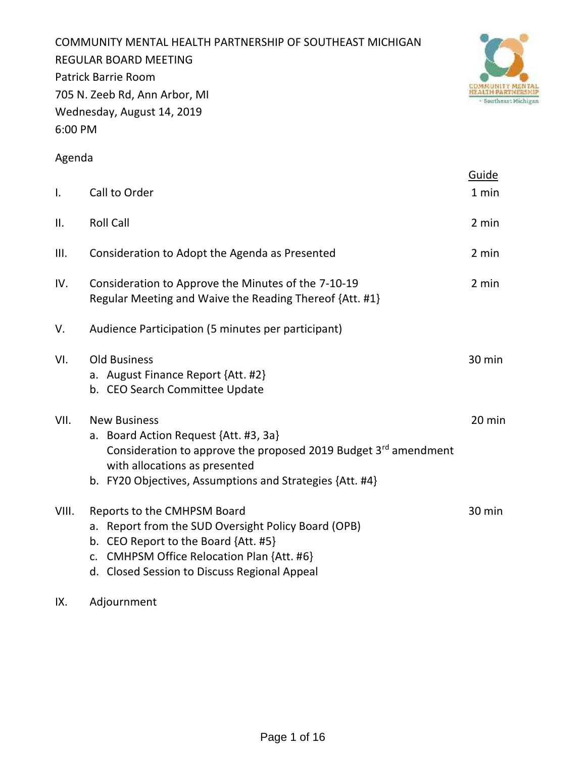COMMUNITY MENTAL HEALTH PARTNERSHIP OF SOUTHEAST MICHIGAN REGULAR BOARD MEETING Patrick Barrie Room 705 N. Zeeb Rd, Ann Arbor, MI Wednesday, August 14, 2019 6:00 PM



# Agenda

|       |                                                                                                                                                                                                                                   | Guide  |
|-------|-----------------------------------------------------------------------------------------------------------------------------------------------------------------------------------------------------------------------------------|--------|
| I.    | Call to Order                                                                                                                                                                                                                     | 1 min  |
| ΙΙ.   | <b>Roll Call</b>                                                                                                                                                                                                                  | 2 min  |
| III.  | Consideration to Adopt the Agenda as Presented                                                                                                                                                                                    | 2 min  |
| IV.   | Consideration to Approve the Minutes of the 7-10-19<br>Regular Meeting and Waive the Reading Thereof {Att. #1}                                                                                                                    | 2 min  |
| V.    | Audience Participation (5 minutes per participant)                                                                                                                                                                                |        |
| VI.   | <b>Old Business</b><br>a. August Finance Report {Att. #2}<br>b. CEO Search Committee Update                                                                                                                                       | 30 min |
| VII.  | <b>New Business</b><br>a. Board Action Request {Att. #3, 3a}<br>Consideration to approve the proposed 2019 Budget $3^{rd}$ amendment<br>with allocations as presented<br>b. FY20 Objectives, Assumptions and Strategies {Att. #4} | 20 min |
| VIII. | Reports to the CMHPSM Board<br>a. Report from the SUD Oversight Policy Board (OPB)<br>b. CEO Report to the Board {Att. #5}<br>c. CMHPSM Office Relocation Plan {Att. #6}<br>d. Closed Session to Discuss Regional Appeal          | 30 min |

IX. Adjournment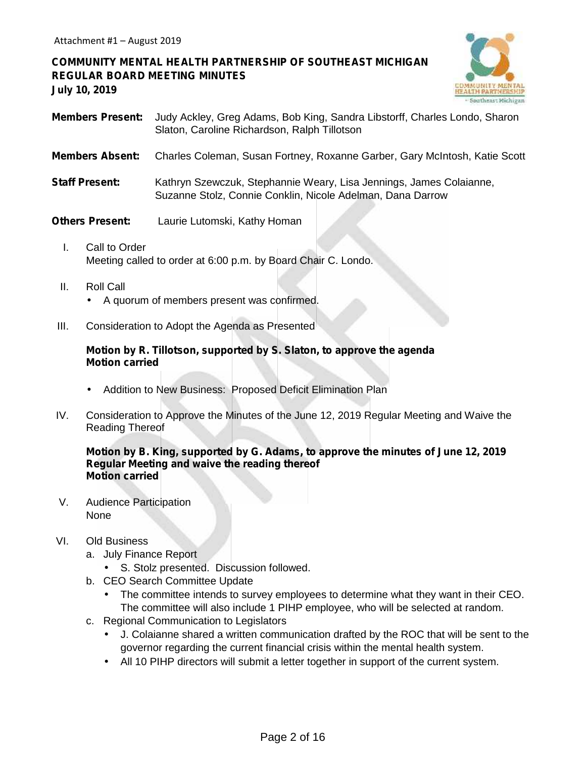# **COMMUNITY MENTAL HEALTH PARTNERSHIP OF SOUTHEAST MICHIGAN REGULAR BOARD MEETING MINUTES July 10, 2019**



- **Members Present:** Judy Ackley, Greg Adams, Bob King, Sandra Libstorff, Charles Londo, Sharon Slaton, Caroline Richardson, Ralph Tillotson
- **Members Absent:** Charles Coleman, Susan Fortney, Roxanne Garber, Gary McIntosh, Katie Scott
- **Staff Present:** Kathryn Szewczuk, Stephannie Weary, Lisa Jennings, James Colaianne, Suzanne Stolz, Connie Conklin, Nicole Adelman, Dana Darrow
- **Others Present:** Laurie Lutomski, Kathy Homan
	- I. Call to Order Meeting called to order at 6:00 p.m. by Board Chair C. Londo.
	- II. Roll Call A quorum of members present was confirmed.
- III. Consideration to Adopt the Agenda as Presented

#### **Motion by R. Tillotson, supported by S. Slaton, to approve the agenda Motion carried**

- Addition to New Business: Proposed Deficit Elimination Plan
- IV. Consideration to Approve the Minutes of the June 12, 2019 Regular Meeting and Waive the Reading Thereof

#### **Motion by B. King, supported by G. Adams, to approve the minutes of June 12, 2019 Regular Meeting and waive the reading thereof Motion carried**

V. Audience Participation None

# VI. Old Business

- a. July Finance Report
	- S. Stolz presented. Discussion followed.
- b. CEO Search Committee Update
	- The committee intends to survey employees to determine what they want in their CEO. The committee will also include 1 PIHP employee, who will be selected at random.
- c. Regional Communication to Legislators
	- J. Colaianne shared a written communication drafted by the ROC that will be sent to the governor regarding the current financial crisis within the mental health system.
	- All 10 PIHP directors will submit a letter together in support of the current system.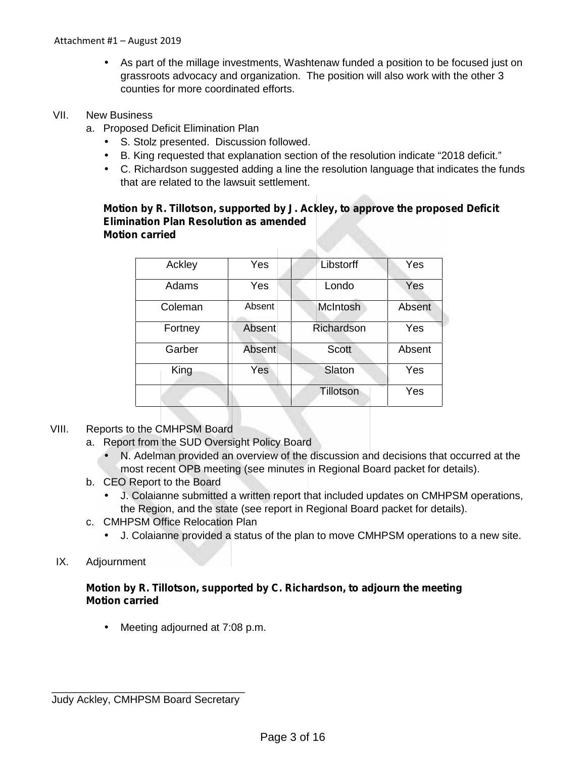As part of the millage investments, Washtenaw funded a position to be focused just on grassroots advocacy and organization. The position will also work with the other 3 counties for more coordinated efforts.

## VII. New Business

- a. Proposed Deficit Elimination Plan
	- S. Stolz presented. Discussion followed.
	- B. King requested that explanation section of the resolution indicate "2018 deficit."
	- $\overline{C}$ . Richardson suggested adding a line the resolution language that indicates the funds that are related to the lawsuit settlement.

#### **Motion by R. Tillotson, supported by J. Ackley, to approve the proposed Deficit Elimination Plan Resolution as amended Motion carried**

| Ackley  | Yes    | Libstorff       | Yes    |
|---------|--------|-----------------|--------|
| Adams   | Yes    | Londo           | Yes    |
| Coleman | Absent | <b>McIntosh</b> | Absent |
| Fortney | Absent | Richardson      | Yes    |
| Garber  | Absent | <b>Scott</b>    | Absent |
| King    | Yes    | Slaton          | Yes    |
|         |        | Tillotson       | Yes    |

- VIII. Reports to the CMHPSM Board
	- a. Report from the SUD Oversight Policy Board
		- N. Adelman provided an overview of the discussion and decisions that occurred at the most recent OPB meeting (see minutes in Regional Board packet for details).
	- b. CEO Report to the Board
		- J. Colaianne submitted a written report that included updates on CMHPSM operations, the Region, and the state (see report in Regional Board packet for details).
	- c. CMHPSM Office Relocation Plan
		- J. Colaianne provided a status of the plan to move CMHPSM operations to a new site.

# IX. Adjournment

## **Motion by R. Tillotson, supported by C. Richardson, to adjourn the meeting Motion carried**

Meeting adjourned at 7:08 p.m.

\_\_\_\_\_\_\_\_\_\_\_\_\_\_\_\_\_\_\_\_\_\_\_\_\_\_\_\_\_\_\_\_\_ Judy Ackley, CMHPSM Board Secretary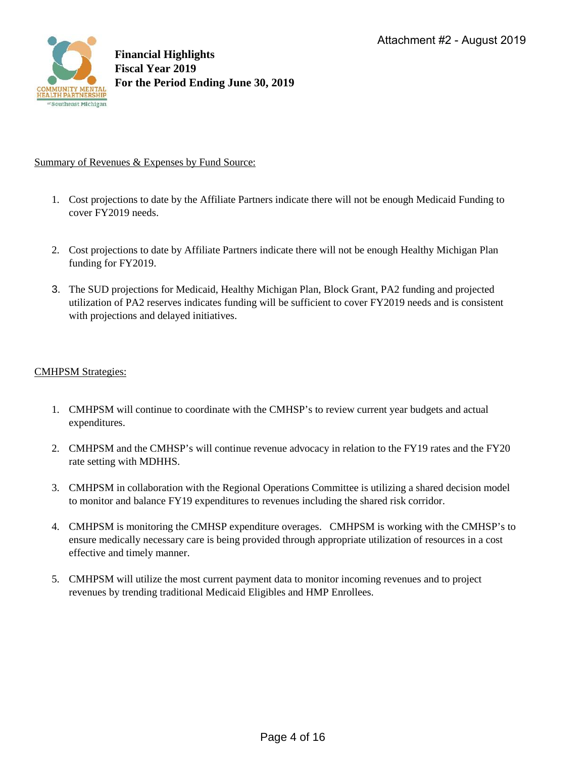

#### Summary of Revenues & Expenses by Fund Source:

- 1. Cost projections to date by the Affiliate Partners indicate there will not be enough Medicaid Funding to cover FY2019 needs.
- 2. Cost projections to date by Affiliate Partners indicate there will not be enough Healthy Michigan Plan funding for FY2019.
- 3. The SUD projections for Medicaid, Healthy Michigan Plan, Block Grant, PA2 funding and projected utilization of PA2 reserves indicates funding will be sufficient to cover FY2019 needs and is consistent with projections and delayed initiatives.

#### CMHPSM Strategies:

- 1. CMHPSM will continue to coordinate with the CMHSP's to review current year budgets and actual expenditures.
- 2. CMHPSM and the CMHSP's will continue revenue advocacy in relation to the FY19 rates and the FY20 rate setting with MDHHS.
- 3. CMHPSM in collaboration with the Regional Operations Committee is utilizing a shared decision model to monitor and balance FY19 expenditures to revenues including the shared risk corridor.
- 4. CMHPSM is monitoring the CMHSP expenditure overages. CMHPSM is working with the CMHSP's to ensure medically necessary care is being provided through appropriate utilization of resources in a cost effective and timely manner.
- 5. CMHPSM will utilize the most current payment data to monitor incoming revenues and to project revenues by trending traditional Medicaid Eligibles and HMP Enrollees.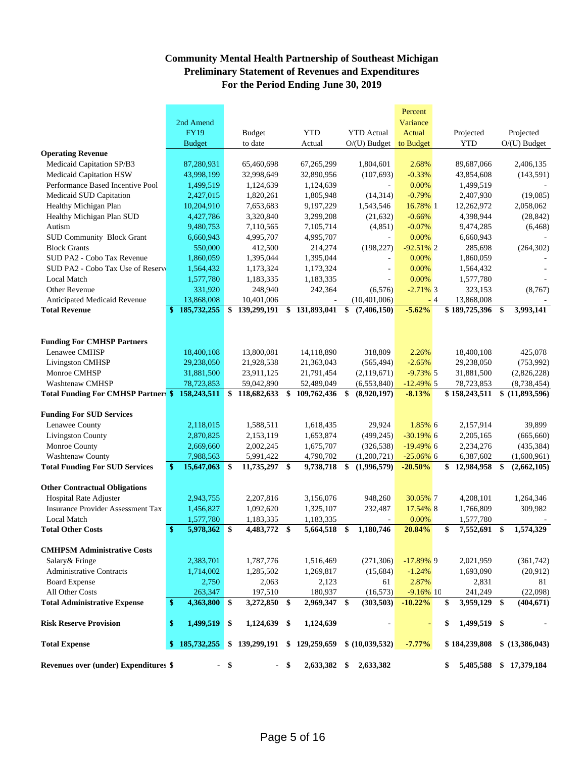# **Community Mental Health Partnership of Southeast Michigan Preliminary Statement of Revenues and Expenditures For the Period Ending June 30, 2019**

|                                                        |                              |                         |            |                         |      |                        |                                  | Percent                   |      |                               |     |                            |
|--------------------------------------------------------|------------------------------|-------------------------|------------|-------------------------|------|------------------------|----------------------------------|---------------------------|------|-------------------------------|-----|----------------------------|
|                                                        | 2nd Amend                    |                         |            |                         |      |                        |                                  | Variance                  |      |                               |     |                            |
|                                                        | <b>FY19</b>                  |                         |            | <b>Budget</b>           |      | <b>YTD</b>             | <b>YTD</b> Actual                | Actual                    |      | Projected                     |     | Projected                  |
|                                                        | <b>Budget</b>                |                         |            | to date                 |      | Actual                 | $O/(U)$ Budget                   | to Budget                 |      | <b>YTD</b>                    |     | $O/(U)$ Budget             |
| <b>Operating Revenue</b>                               |                              |                         |            |                         |      |                        |                                  |                           |      |                               |     |                            |
| Medicaid Capitation SP/B3                              |                              | 87,280,931              |            | 65,460,698              |      | 67,265,299             | 1,804,601                        | 2.68%                     |      | 89,687,066                    |     | 2,406,135                  |
| Medicaid Capitation HSW                                |                              | 43,998,199              |            | 32,998,649              |      | 32,890,956             | (107, 693)                       | $-0.33%$                  |      | 43,854,608                    |     | (143, 591)                 |
| Performance Based Incentive Pool                       |                              | 1,499,519               |            | 1,124,639               |      | 1,124,639              |                                  | 0.00%                     |      | 1,499,519                     |     |                            |
| Medicaid SUD Capitation                                |                              | 2,427,015               |            | 1,820,261               |      | 1,805,948              | (14, 314)                        | $-0.79%$                  |      | 2,407,930                     |     | (19,085)                   |
| Healthy Michigan Plan                                  |                              | 10,204,910              |            | 7,653,683               |      | 9,197,229              | 1,543,546                        | 16.78% 1                  |      | 12,262,972                    |     | 2,058,062                  |
| Healthy Michigan Plan SUD                              |                              | 4,427,786               |            | 3,320,840               |      | 3,299,208              | (21, 632)                        | $-0.66%$                  |      | 4,398,944                     |     | (28, 842)                  |
| Autism                                                 |                              | 9,480,753               |            | 7,110,565               |      | 7,105,714              | (4, 851)                         | $-0.07%$                  |      | 9,474,285                     |     | (6, 468)                   |
| <b>SUD Community Block Grant</b>                       |                              | 6,660,943               |            | 4,995,707               |      | 4,995,707              |                                  | 0.00%                     |      | 6,660,943                     |     |                            |
| <b>Block Grants</b>                                    |                              | 550,000                 |            | 412,500                 |      | 214,274                | (198, 227)                       | $-92.51\%$ 2              |      | 285,698                       |     | (264, 302)                 |
| SUD PA2 - Cobo Tax Revenue                             |                              | 1,860,059               |            | 1,395,044               |      | 1,395,044              |                                  | 0.00%                     |      | 1,860,059                     |     |                            |
| SUD PA2 - Cobo Tax Use of Reserv                       |                              | 1,564,432               |            | 1,173,324               |      | 1,173,324              | ÷                                | 0.00%                     |      | 1,564,432                     |     |                            |
| <b>Local Match</b>                                     |                              | 1,577,780               |            | 1,183,335               |      | 1,183,335              |                                  | 0.00%                     |      | 1,577,780                     |     |                            |
| Other Revenue                                          |                              | 331,920                 |            | 248,940                 |      | 242,364                | (6,576)                          | $-2.71\%$ 3               |      | 323,153                       |     | (8,767)                    |
| Anticipated Medicaid Revenue                           |                              | 13,868,008              |            | 10,401,006              |      |                        | (10, 401, 006)                   |                           | $-4$ | 13,868,008                    |     |                            |
| <b>Total Revenue</b>                                   | $\mathbf{\$}$<br>185,732,255 |                         | \$         | 139,299,191             | \$   | 131,893,041            | \$<br>(7,406,150)                | $-5.62%$                  |      | \$189,725,396                 | \$  | 3,993,141                  |
|                                                        |                              |                         |            |                         |      |                        |                                  |                           |      |                               |     |                            |
| <b>Funding For CMHSP Partners</b>                      |                              |                         |            |                         |      |                        |                                  |                           |      |                               |     |                            |
| Lenawee CMHSP                                          |                              | 18,400,108              |            | 13,800,081              |      | 14,118,890             | 318,809                          | 2.26%                     |      | 18,400,108                    |     | 425,078                    |
| <b>Livingston CMHSP</b>                                |                              | 29,238,050              |            | 21,928,538              |      | 21,363,043             | (565, 494)                       | $-2.65%$                  |      | 29,238,050                    |     | (753,992)                  |
| Monroe CMHSP                                           |                              | 31,881,500              |            | 23,911,125              |      | 21,791,454             | (2,119,671)                      | $-9.73\%$ 5               |      | 31,881,500                    |     | (2,826,228)                |
| <b>Washtenaw CMHSP</b>                                 |                              | 78,723,853              |            | 59,042,890              |      | 52,489,049             | (6,553,840)                      | $-12.49\%$ 5              |      | 78,723,853                    |     | (8,738,454)                |
| <b>Total Funding For CMHSP Partners \$</b>             | 158,243,511                  |                         | \$         | 118,682,633             | \$   | 109,762,436            | \$<br>(8,920,197)                | $-8.13%$                  |      | \$158,243,511                 |     | \$ (11,893,596)            |
| <b>Funding For SUD Services</b>                        |                              |                         |            |                         |      |                        |                                  |                           |      |                               |     |                            |
| Lenawee County                                         |                              | 2,118,015               |            | 1,588,511               |      | 1,618,435              | 29,924                           | 1.85% 6                   |      | 2,157,914                     |     | 39,899                     |
| <b>Livingston County</b>                               |                              | 2,870,825               |            | 2,153,119               |      | 1,653,874              | (499, 245)                       | $-30.19\%$ 6              |      | 2,205,165                     |     | (665, 660)                 |
| Monroe County                                          |                              | 2,669,660               |            | 2,002,245               |      | 1,675,707              | (326, 538)                       | $-19.49\%$ 6              |      | 2,234,276                     |     | (435, 384)                 |
| Washtenaw County                                       |                              |                         |            |                         |      |                        |                                  |                           |      |                               |     |                            |
| <b>Total Funding For SUD Services</b>                  | \$                           | 7,988,563<br>15,647,063 | $\cdot$ \$ | 5,991,422<br>11,735,297 | \$   | 4,790,702<br>9,738,718 | \$<br>(1,200,721)<br>(1,996,579) | $-25.06\%$ 6<br>$-20.50%$ |      | 6,387,602<br>\$<br>12,984,958 | \$  | (1,600,961)<br>(2,662,105) |
|                                                        |                              |                         |            |                         |      |                        |                                  |                           |      |                               |     |                            |
| <b>Other Contractual Obligations</b>                   |                              |                         |            |                         |      |                        |                                  |                           |      |                               |     |                            |
| <b>Hospital Rate Adjuster</b>                          |                              | 2,943,755               |            | 2,207,816               |      | 3,156,076              | 948,260                          | 30.05% 7                  |      | 4,208,101                     |     | 1,264,346                  |
| <b>Insurance Provider Assessment Tax</b>               |                              | 1,456,827               |            | 1,092,620               |      | 1,325,107              | 232,487                          | 17.54% 8                  |      | 1,766,809                     |     | 309,982                    |
| Local Match                                            |                              | 1,577,780               |            | 1,183,335               |      | 1,183,335              |                                  | 0.00%                     |      | 1,577,780                     |     |                            |
| <b>Total Other Costs</b>                               | \$                           | 5,978,362 \$            |            | 4,483,772               | \$   | 5,664,518              | \$<br>1,180,746                  | 20.84%                    |      | \$<br>7,552,691               | \$  | 1,574,329                  |
| <b>CMHPSM Administrative Costs</b>                     |                              |                         |            |                         |      |                        |                                  |                           |      |                               |     |                            |
| Salary & Fringe                                        |                              | 2,383,701               |            | 1,787,776               |      | 1,516,469              | (271, 306)                       | $-17.89\%$ 9              |      | 2,021,959                     |     | (361,742)                  |
|                                                        |                              |                         |            |                         |      |                        |                                  |                           |      |                               |     |                            |
| <b>Administrative Contracts</b>                        |                              | 1,714,002               |            | 1,285,502               |      | 1,269,817              | (15,684)                         | $-1.24%$                  |      | 1.693.090                     |     | (20,912)                   |
| <b>Board Expense</b>                                   |                              | 2,750                   |            | 2,063                   |      | 2,123                  | 61                               | 2.87%                     |      | 2,831                         |     | 81                         |
| All Other Costs<br><b>Total Administrative Expense</b> | \$                           | 263,347<br>4,363,800 \$ |            | 197,510<br>3,272,850    | \$   | 180,937<br>2,969,347   | \$<br>(16, 573)<br>(303,503)     | $-9.16\%$ 10<br>$-10.22%$ |      | 241,249<br>\$<br>3,959,129    | -\$ | (22,098)<br>(404, 671)     |
|                                                        |                              |                         |            |                         |      |                        |                                  |                           |      |                               |     |                            |
| <b>Risk Reserve Provision</b>                          | \$                           | 1,499,519               | \$         | 1,124,639 \$            |      | 1,124,639              |                                  | $\blacksquare$            |      | \$<br>1,499,519 \$            |     |                            |
| <b>Total Expense</b>                                   | \$185,732,255                |                         |            | \$139,299,191           |      | \$129,259,659          | \$ (10,039,532)                  | $-7.77%$                  |      | \$184,239,808                 |     | \$(13,386,043)             |
|                                                        |                              |                         |            |                         |      |                        |                                  |                           |      |                               |     |                            |
| Revenues over (under) Expenditures \$                  |                              |                         | $-$ \$     |                         | - \$ | 2,633,382 \$           | 2,633,382                        |                           |      | 5,485,588<br>\$               |     | \$17,379,184               |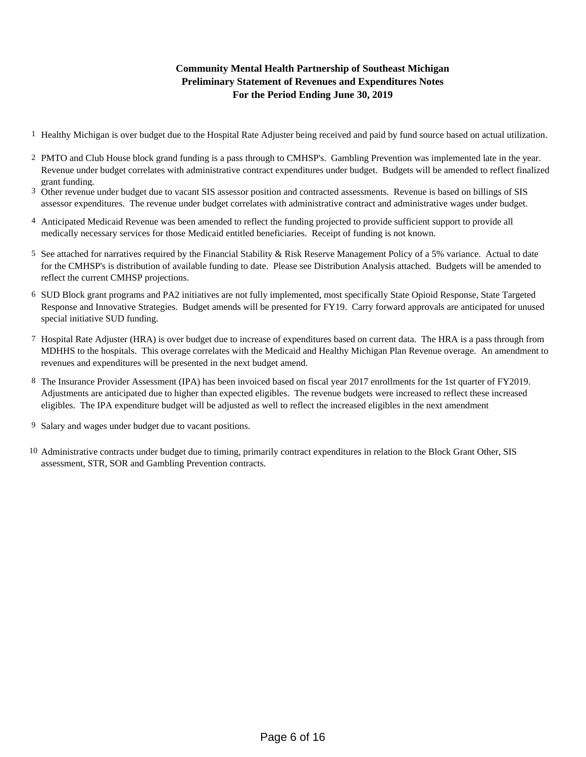## **For the Period Ending June 30, 2019 Community Mental Health Partnership of Southeast Michigan Preliminary Statement of Revenues and Expenditures Notes**

- 1 Healthy Michigan is over budget due to the Hospital Rate Adjuster being received and paid by fund source based on actual utilization.
- 2 PMTO and Club House block grand funding is a pass through to CMHSP's. Gambling Prevention was implemented late in the year. Revenue under budget correlates with administrative contract expenditures under budget. Budgets will be amended to reflect finalized grant funding.
- 3 Other revenue under budget due to vacant SIS assessor position and contracted assessments. Revenue is based on billings of SIS assessor expenditures. The revenue under budget correlates with administrative contract and administrative wages under budget.
- 4 Anticipated Medicaid Revenue was been amended to reflect the funding projected to provide sufficient support to provide all medically necessary services for those Medicaid entitled beneficiaries. Receipt of funding is not known.
- 5 See attached for narratives required by the Financial Stability & Risk Reserve Management Policy of a 5% variance. Actual to date for the CMHSP's is distribution of available funding to date. Please see Distribution Analysis attached. Budgets will be amended to reflect the current CMHSP projections.
- 6 SUD Block grant programs and PA2 initiatives are not fully implemented, most specifically State Opioid Response, State Targeted Response and Innovative Strategies. Budget amends will be presented for FY19. Carry forward approvals are anticipated for unused special initiative SUD funding.
- 7 Hospital Rate Adjuster (HRA) is over budget due to increase of expenditures based on current data. The HRA is a pass through from MDHHS to the hospitals. This overage correlates with the Medicaid and Healthy Michigan Plan Revenue overage. An amendment to revenues and expenditures will be presented in the next budget amend.
- 8 The Insurance Provider Assessment (IPA) has been invoiced based on fiscal year 2017 enrollments for the 1st quarter of FY2019. Adjustments are anticipated due to higher than expected eligibles. The revenue budgets were increased to reflect these increased eligibles. The IPA expenditure budget will be adjusted as well to reflect the increased eligibles in the next amendment
- 9 Salary and wages under budget due to vacant positions.
- 10 Administrative contracts under budget due to timing, primarily contract expenditures in relation to the Block Grant Other, SIS assessment, STR, SOR and Gambling Prevention contracts.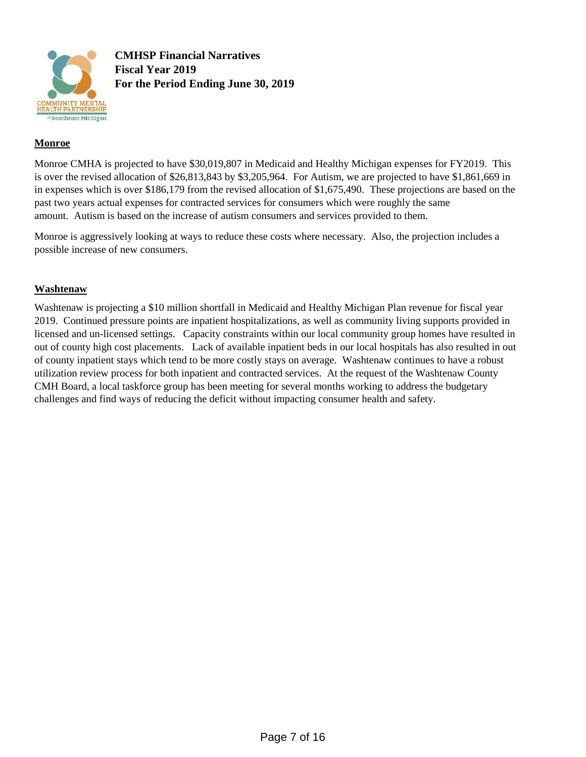

**CMHSP Financial Narratives Fiscal Year 2019 For the Period Ending June 30, 2019**

### **Monroe**

Monroe CMHA is projected to have \$30,019,807 in Medicaid and Healthy Michigan expenses for FY2019. This is over the revised allocation of \$26,813,843 by \$3,205,964. For Autism, we are projected to have \$1,861,669 in in expenses which is over \$186,179 from the revised allocation of \$1,675,490. These projections are based on the past two years actual expenses for contracted services for consumers which were roughly the same amount. Autism is based on the increase of autism consumers and services provided to them.

Monroe is aggressively looking at ways to reduce these costs where necessary. Also, the projection includes a possible increase of new consumers.

#### **Washtenaw**

Washtenaw is projecting a \$10 million shortfall in Medicaid and Healthy Michigan Plan revenue for fiscal year 2019. Continued pressure points are inpatient hospitalizations, as well as community living supports provided in licensed and un-licensed settings. Capacity constraints within our local community group homes have resulted in out of county high cost placements. Lack of available inpatient beds in our local hospitals has also resulted in out of county inpatient stays which tend to be more costly stays on average. Washtenaw continues to have a robust utilization review process for both inpatient and contracted services. At the request of the Washtenaw County CMH Board, a local taskforce group has been meeting for several months working to address the budgetary challenges and find ways of reducing the deficit without impacting consumer health and safety.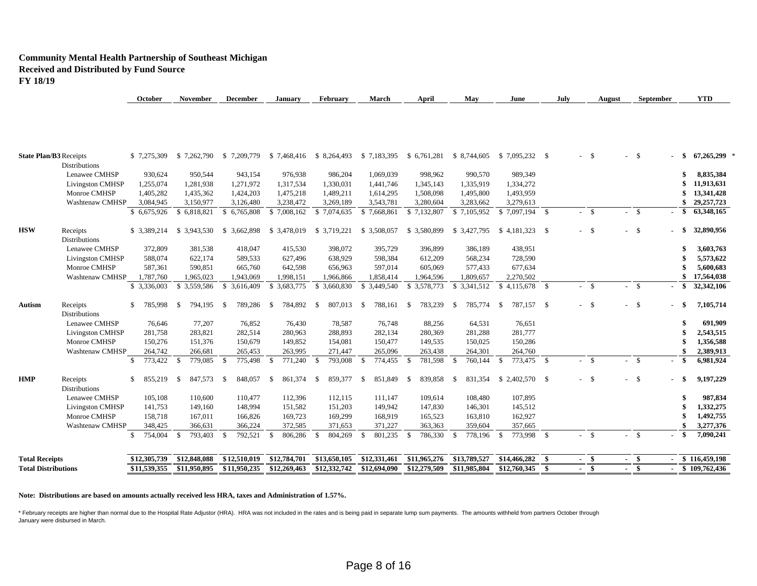#### **Community Mental Health Partnership of Southeast Michigan Received and Distributed by Fund Source FY 18/19**

| <b>State Plan/B3</b> Receipts              |                         | \$7,275,309             | \$7,262,790              | \$ 7,209,779             |                               | \$7,468,416 \$8,264,493 | \$7,183,395              | \$6,761,281             | \$ 8,744,605             |                            |      | $-$ \$                            | -S<br>$\mathbf{r}$              |        | $67,265,299$ *<br>- \$      |
|--------------------------------------------|-------------------------|-------------------------|--------------------------|--------------------------|-------------------------------|-------------------------|--------------------------|-------------------------|--------------------------|----------------------------|------|-----------------------------------|---------------------------------|--------|-----------------------------|
| <b>Distributions</b>                       |                         |                         |                          |                          |                               |                         |                          |                         |                          |                            |      |                                   |                                 |        |                             |
|                                            | Lenawee CMHSP           | 930,624                 | 950,544                  | 943,154                  | 976,938                       | 986,204                 | 1,069,039                | 998,962                 | 990,570                  | 989,349                    |      |                                   |                                 |        | 8,835,384                   |
|                                            | Livingston CMHSP        | 1,255,074               | 1,281,938                | 1,271,972                | 1,317,534                     | 1,330,031               | 1,441,746                | 1,345,143               | 1,335,919                | 1,334,272                  |      |                                   |                                 |        | 11,913,631                  |
| Monroe CMHSP                               |                         | 1,405,282               | 1,435,362                | 1,424,203                | 1,475,218                     | 1,489,211               | 1,614,295                | 1,508,098               | 1,495,800                | 1,493,959                  |      |                                   |                                 |        | 13,341,428                  |
|                                            | Washtenaw CMHSP         | 3,084,945               | 3,150,977                | 3,126,480                | 3,238,472                     | 3,269,189               | 3,543,781                | 3,280,604               | 3,283,662                | 3,279,613                  |      |                                   |                                 |        | 29, 257, 723                |
|                                            |                         | \$6,675,926             | \$6,818,821              | \$6,765,808              | \$7,008,162                   | \$7,074,635             | \$7,668,861              | \$7,132,807             | \$7,105,952              | $$7,097,194$ \ \$          |      | $\mathbf{s}$                      | $\mathbf{\hat{S}}$              |        | 63,348,165<br><sup>\$</sup> |
| <b>HSW</b><br>Receipts                     |                         | \$ 3,389,214            | \$3,943,530              | \$ 3.662,898             | \$ 3,478,019 \$ 3,719,221     |                         | \$3,508,057              | \$3,580,899             | \$ 3,427,795             |                            |      | $-5$                              | -S<br>$\overline{a}$            |        | 32,890,956<br>- \$          |
| <b>Distributions</b>                       |                         |                         |                          |                          |                               |                         |                          |                         |                          |                            |      |                                   |                                 |        |                             |
|                                            | Lenawee CMHSP           | 372,809                 | 381,538                  | 418,047                  | 415,530                       | 398,072                 | 395,729                  | 396,899                 | 386,189                  | 438,951                    |      |                                   |                                 |        | 3,603,763                   |
|                                            | Livingston CMHSP        | 588,074                 | 622,174                  | 589,533                  | 627,496                       | 638,929                 | 598,384                  | 612,209                 | 568,234                  | 728,590                    |      |                                   |                                 |        | 5,573,622                   |
| Monroe CMHSP                               |                         | 587,361                 | 590,851                  | 665,760                  | 642,598                       | 656,963                 | 597,014                  | 605,069                 | 577,433                  | 677,634                    |      |                                   |                                 |        | 5,600,683                   |
|                                            | Washtenaw CMHSP         | 1,787,760               | 1,965,023                | 1,943,069                | 1,998,151                     | 1,966,866               | 1,858,414                | 1,964,596               | 1,809,657                | 2,270,502                  |      |                                   |                                 |        | 17,564,038                  |
|                                            |                         | \$3,336,003             | \$3,559,586              | \$ 3,616,409             | \$3,683,775                   | \$ 3,660,830            | \$ 3,449,540             | \$3,578,773             | \$3,341,512              | $$4,115,678$ \;            |      | $-$ \$                            | $\mathbf{\hat{S}}$              |        | 32,342,106<br>- \$          |
| Autism<br>Receipts<br><b>Distributions</b> |                         | \$<br>785,998           | -S<br>794,195            | 789,286<br>- \$          | 784,892<br>- \$               | 807,013<br>-S           | 788,161<br>- \$          | 783,239<br>-S           | 785,774<br>- \$          | 787.157 \$<br>-S           |      | $-5$                              | -S<br>$\sim$                    | $-$ \$ | 7,105,714                   |
|                                            | Lenawee CMHSP           | 76,646                  | 77,207                   | 76,852                   | 76,430                        | 78,587                  | 76,748                   | 88,256                  | 64,531                   | 76,651                     |      |                                   |                                 |        | 691,909                     |
|                                            | <b>Livingston CMHSP</b> | 281,758                 | 283,821                  | 282,514                  | 280.963                       | 288,893                 | 282,134                  | 280,369                 | 281,288                  | 281,777                    |      |                                   |                                 |        | 2,543,515                   |
| Monroe CMHSP                               |                         | 150,276                 | 151,376                  | 150,679                  | 149,852                       | 154,081                 | 150,477                  | 149.535                 | 150,025                  | 150,286                    |      |                                   |                                 |        | 1,356,588                   |
|                                            | Washtenaw CMHSP         | 264,742                 | 266,681                  | 265,453                  | 263,995                       | 271,447                 | 265,096                  | 263,438                 | 264,301                  | 264,760                    |      |                                   |                                 |        | 2,389,913                   |
|                                            |                         | $\mathbb{S}$<br>773,422 | 779,085<br><sup>\$</sup> | 775,498<br>-S            | 771,240<br>- \$               | 793,008<br>-\$          | 774,455<br>- \$          | - \$<br>781,598         | 760,144<br>- \$          | 773,475 \$<br>-S           |      | $\mathbf{s}$                      | <sup>\$</sup><br>$\blacksquare$ | $-$ \$ | 6,981,924                   |
| HMP<br>Receipts<br><b>Distributions</b>    |                         | \$<br>855,219           | 847,573<br>-S            | 848,057<br>-S            | 861,374<br>\$                 | 859,377<br>- \$         | 851,849<br><sup>\$</sup> | \$<br>839,858           | 831,354<br>-\$           |                            |      | $-$ \$                            | -S<br>$\overline{a}$            | $-$ \$ | 9,197,229                   |
|                                            | Lenawee CMHSP           | 105,108                 | 110,600                  | 110,477                  | 112,396                       | 112,115                 | 111,147                  | 109,614                 | 108,480                  | 107,895                    |      |                                   |                                 |        | 987,834                     |
|                                            | Livingston CMHSP        | 141,753                 | 149,160                  | 148,994                  | 151,582                       | 151,203                 | 149,942                  | 147,830                 | 146,301                  | 145,512                    |      |                                   |                                 |        | 1,332,275                   |
| Monroe CMHSP                               |                         | 158,718                 | 167,011                  | 166,826                  | 169,723                       | 169,299                 | 168,919                  | 165,523                 | 163,810                  | 162,927                    |      |                                   |                                 |        | 1,492,755                   |
|                                            | <b>Washtenaw CMHSP</b>  | 348,425                 | 366,631                  | 366,224                  | 372,585                       | 371,653                 | 371,227                  | 363,363                 | 359,604                  | 357,665                    |      |                                   |                                 |        | 3,277,376                   |
|                                            |                         | 754,004<br>$\mathbb{S}$ | 793,403<br>\$            | 792,521<br><sup>\$</sup> | $\mathbf{\hat{s}}$<br>806,286 | 804,269<br>-S           | 801,235<br>$\mathbf{\$}$ | $\mathbf{s}$<br>786,330 | 778,196<br>$\mathbf{\$}$ | 773,998 \$<br>$\mathbf{s}$ |      | $-$ \$                            | $\mathbf{\hat{S}}$              |        | 7,090,241<br>- \$           |
| <b>Total Receipts</b>                      |                         | \$12,305,739            | \$12,848,088             | \$12,510,019             | \$12,784,701                  | \$13,650,105            | \$12,331,461             | \$11,965,276            | \$13,789,527             | \$14,466,282               | - \$ | $\overline{\mathbf{s}}$<br>$\sim$ | $-$ \$                          |        | \$116,459,198               |
|                                            |                         |                         |                          |                          |                               |                         |                          |                         |                          |                            |      |                                   |                                 |        |                             |

**October November December January February March April May June July August September YTD**

#### **Note: Distributions are based on amounts actually received less HRA, taxes and Administration of 1.57%.**

\* February receipts are higher than normal due to the Hospital Rate Adjustor (HRA). HRA was not included in the rates and is being paid in separate lump sum payments. The amounts withheld from partners October through January were disbursed in March.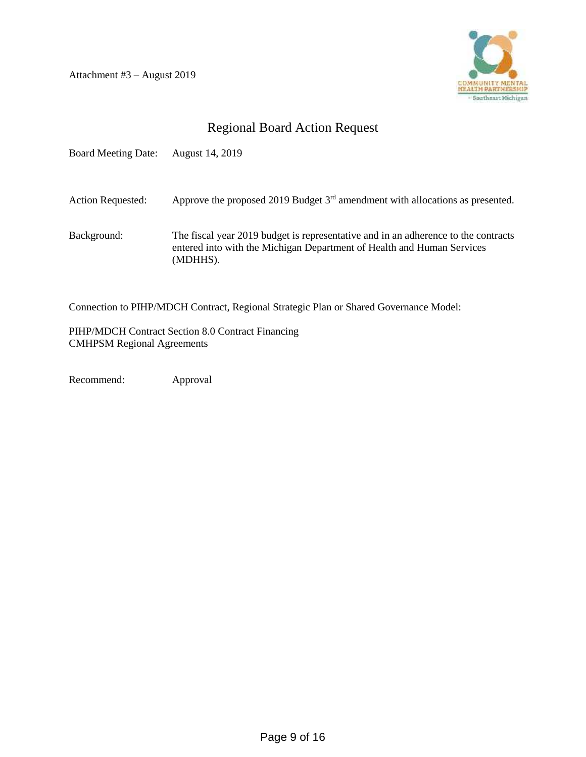Attachment #3 – August 2019



# Regional Board Action Request

| <b>Board Meeting Date:</b> | August 14, 2019                                                                                                                                                          |
|----------------------------|--------------------------------------------------------------------------------------------------------------------------------------------------------------------------|
| <b>Action Requested:</b>   | Approve the proposed 2019 Budget $3rd$ amendment with allocations as presented.                                                                                          |
| Background:                | The fiscal year 2019 budget is representative and in an adherence to the contracts<br>entered into with the Michigan Department of Health and Human Services<br>(MDHHS). |

Connection to PIHP/MDCH Contract, Regional Strategic Plan or Shared Governance Model:

PIHP/MDCH Contract Section 8.0 Contract Financing CMHPSM Regional Agreements

Recommend: Approval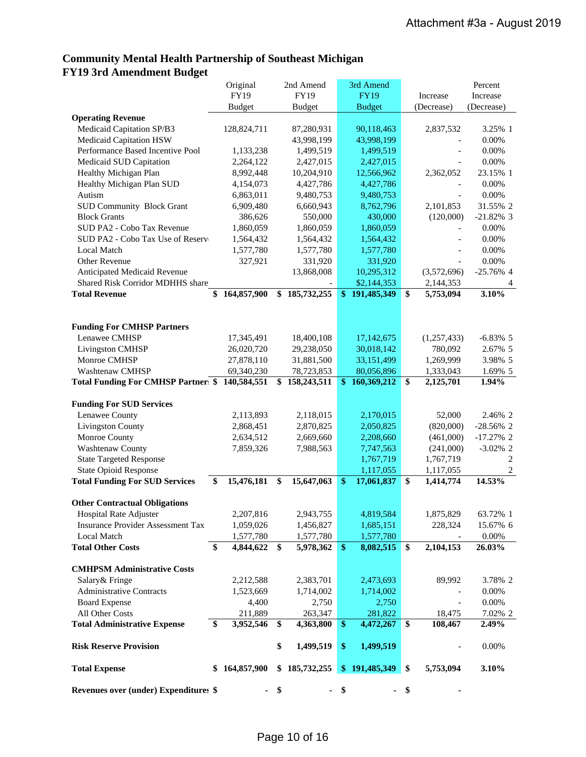# **Community Mental Health Partnership of Southeast Michigan FY19 3rd Amendment Budget**

|                                                 | Original         | 2nd Amend                             |                   | 3rd Amend     |              |                        | Percent          |
|-------------------------------------------------|------------------|---------------------------------------|-------------------|---------------|--------------|------------------------|------------------|
|                                                 | <b>FY19</b>      | FY19                                  |                   | <b>FY19</b>   |              | Increase               | Increase         |
|                                                 | <b>Budget</b>    | <b>Budget</b>                         |                   | <b>Budget</b> |              | (Decrease)             | (Decrease)       |
| <b>Operating Revenue</b>                        |                  |                                       |                   |               |              |                        |                  |
| Medicaid Capitation SP/B3                       | 128,824,711      | 87,280,931                            |                   | 90,118,463    |              | 2,837,532              | 3.25% 1          |
| Medicaid Capitation HSW                         |                  | 43,998,199                            |                   | 43,998,199    |              |                        | 0.00%            |
| Performance Based Incentive Pool                | 1,133,238        | 1,499,519                             |                   | 1,499,519     |              |                        | 0.00%            |
| Medicaid SUD Capitation                         | 2,264,122        | 2,427,015                             |                   | 2,427,015     |              |                        | 0.00%            |
| Healthy Michigan Plan                           | 8,992,448        | 10,204,910                            |                   | 12,566,962    |              | 2,362,052              | 23.15% 1         |
| Healthy Michigan Plan SUD                       | 4,154,073        | 4,427,786                             |                   | 4,427,786     |              |                        | 0.00%            |
| Autism                                          | 6,863,011        | 9,480,753                             |                   | 9,480,753     |              |                        | 0.00%            |
| <b>SUD Community Block Grant</b>                | 6,909,480        | 6,660,943                             |                   | 8,762,796     |              | 2,101,853              | 31.55% 2         |
| <b>Block Grants</b>                             | 386,626          | 550,000                               |                   | 430,000       |              | (120,000)              | $-21.82\%$ 3     |
| SUD PA2 - Cobo Tax Revenue                      | 1,860,059        | 1,860,059                             |                   | 1,860,059     |              | $\overline{a}$         | 0.00%            |
| SUD PA2 - Cobo Tax Use of Reserv                | 1,564,432        | 1,564,432                             |                   | 1,564,432     |              |                        | 0.00%            |
| <b>Local Match</b>                              | 1,577,780        | 1,577,780                             |                   | 1,577,780     |              |                        | 0.00%            |
| Other Revenue                                   | 327,921          | 331,920                               |                   | 331,920       |              |                        | 0.00%            |
| Anticipated Medicaid Revenue                    |                  | 13,868,008                            |                   | 10,295,312    |              | (3,572,696)            | $-25.76\%$ 4     |
| Shared Risk Corridor MDHHS share                |                  |                                       |                   | \$2,144,353   |              | 2,144,353              |                  |
| <b>Total Revenue</b>                            | 164,857,900      | \$<br>185,732,255                     | $\mathbf{\$}$     | 191,485,349   | $\mathbf{s}$ | 5,753,094              | 3.10%            |
|                                                 |                  |                                       |                   |               |              |                        |                  |
|                                                 |                  |                                       |                   |               |              |                        |                  |
| <b>Funding For CMHSP Partners</b>               |                  |                                       |                   |               |              |                        |                  |
| Lenawee CMHSP                                   | 17,345,491       | 18,400,108                            |                   | 17,142,675    |              | (1,257,433)            | $-6.83\%$ 5      |
| <b>Livingston CMHSP</b>                         | 26,020,720       | 29,238,050                            |                   | 30,018,142    |              | 780,092                | 2.67% 5          |
| Monroe CMHSP                                    | 27,878,110       | 31,881,500                            |                   | 33,151,499    |              | 1,269,999              | 3.98% 5          |
| Washtenaw CMHSP                                 | 69,340,230       | 78,723,853                            |                   | 80,056,896    |              | 1,333,043              | 1.69% 5          |
| Total Funding For CMHSP Partner: \$ 140,584,551 |                  | $\overline{$}3\overline{1}58,243,511$ | \$                | 160,369,212   | \$           | 2,125,701              | 1.94%            |
|                                                 |                  |                                       |                   |               |              |                        |                  |
| <b>Funding For SUD Services</b>                 |                  |                                       |                   |               |              |                        |                  |
| Lenawee County                                  | 2,113,893        | 2,118,015                             |                   | 2,170,015     |              | 52,000                 | 2.46% 2          |
| Livingston County                               | 2,868,451        | 2,870,825                             |                   | 2,050,825     |              | (820,000)              | $-28.56\%$ 2     |
| Monroe County                                   | 2,634,512        | 2,669,660                             |                   | 2,208,660     |              | (461,000)              | $-17.27\%$ 2     |
| Washtenaw County                                | 7,859,326        | 7,988,563                             |                   | 7,747,563     |              | (241,000)              | $-3.02\%$ 2      |
| <b>State Targeted Response</b>                  |                  |                                       |                   | 1,767,719     |              | 1,767,719              | $\overline{c}$   |
| <b>State Opioid Response</b>                    |                  |                                       |                   | 1,117,055     |              | 1,117,055              | $\boldsymbol{2}$ |
| <b>Total Funding For SUD Services</b>           | \$<br>15,476,181 | \$<br>15,647,063                      | $\boldsymbol{\$}$ | 17,061,837    | \$           | $\overline{1,}414,774$ | 14.53%           |
|                                                 |                  |                                       |                   |               |              |                        |                  |
| <b>Other Contractual Obligations</b>            |                  |                                       |                   |               |              |                        |                  |
| <b>Hospital Rate Adjuster</b>                   | 2,207,816        | 2,943,755                             |                   | 4,819,584     |              | 1,875,829              | 63.72% 1         |
| <b>Insurance Provider Assessment Tax</b>        | 1,059,026        | 1,456,827                             |                   | 1,685,151     |              | 228,324                | 15.67% 6         |
| Local Match                                     | 1,577,780        | 1,577,780                             |                   | 1,577,780     |              |                        | 0.00%            |
| <b>Total Other Costs</b>                        | \$<br>4,844,622  | \$<br>5,978,362                       | \$                | 8,082,515     | \$           | 2,104,153              | 26.03%           |
|                                                 |                  |                                       |                   |               |              |                        |                  |
| <b>CMHPSM Administrative Costs</b>              |                  |                                       |                   |               |              |                        |                  |
| Salary & Fringe                                 | 2,212,588        | 2,383,701                             |                   | 2,473,693     |              | 89,992                 | 3.78% 2          |
| <b>Administrative Contracts</b>                 | 1,523,669        | 1,714,002                             |                   | 1,714,002     |              |                        | 0.00%            |
| <b>Board Expense</b>                            | 4,400            | 2,750                                 |                   | 2,750         |              |                        | 0.00%            |
| All Other Costs                                 | 211,889          | 263,347                               |                   | 281,822       |              | 18,475                 | 7.02% 2          |
| <b>Total Administrative Expense</b>             | \$<br>3,952,546  | \$<br>4,363,800                       | \$                | 4,472,267     | \$           | 108,467                | 2.49%            |
|                                                 |                  |                                       |                   |               |              |                        |                  |
| <b>Risk Reserve Provision</b>                   |                  | \$<br>1,499,519                       | \$                | 1,499,519     |              | $\overline{a}$         | 0.00%            |
|                                                 |                  |                                       |                   |               |              |                        |                  |
| <b>Total Expense</b>                            | \$164,857,900    | \$185,732,255                         |                   | \$191,485,349 | \$           | 5,753,094              | 3.10%            |
|                                                 |                  |                                       |                   |               |              |                        |                  |
| <b>Revenues over (under) Expenditures \$</b>    |                  | \$                                    | \$                |               | - \$         |                        |                  |
|                                                 |                  |                                       |                   |               |              |                        |                  |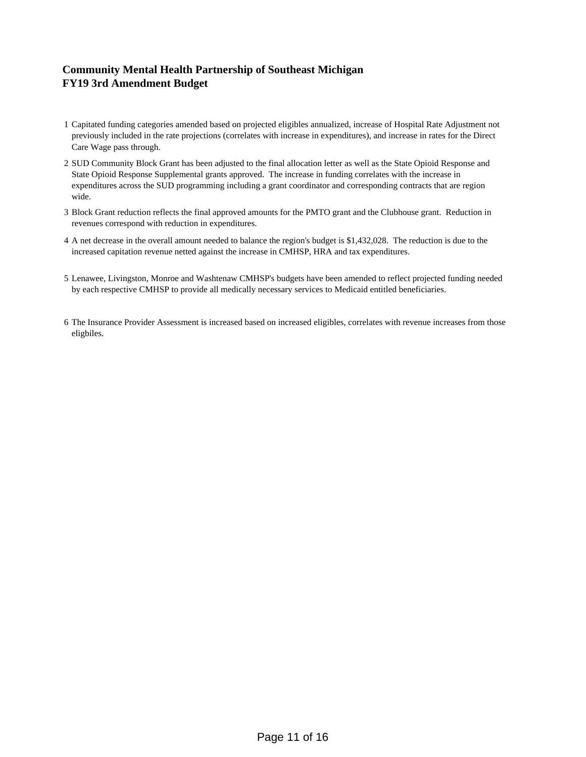# **Community Mental Health Partnership of Southeast Michigan FY19 3rd Amendment Budget**

- 1 Capitated funding categories amended based on projected eligibles annualized, increase of Hospital Rate Adjustment not previously included in the rate projections (correlates with increase in expenditures), and increase in rates for the Direct Care Wage pass through.
- 2 SUD Community Block Grant has been adjusted to the final allocation letter as well as the State Opioid Response and State Opioid Response Supplemental grants approved. The increase in funding correlates with the increase in expenditures across the SUD programming including a grant coordinator and corresponding contracts that are region wide.
- 3 Block Grant reduction reflects the final approved amounts for the PMTO grant and the Clubhouse grant. Reduction in revenues correspond with reduction in expenditures.
- 4 A net decrease in the overall amount needed to balance the region's budget is \$1,432,028. The reduction is due to the increased capitation revenue netted against the increase in CMHSP, HRA and tax expenditures.
- 5 Lenawee, Livingston, Monroe and Washtenaw CMHSP's budgets have been amended to reflect projected funding needed by each respective CMHSP to provide all medically necessary services to Medicaid entitled beneficiaries.
- 6 The Insurance Provider Assessment is increased based on increased eligibles, correlates with revenue increases from those eligbiles.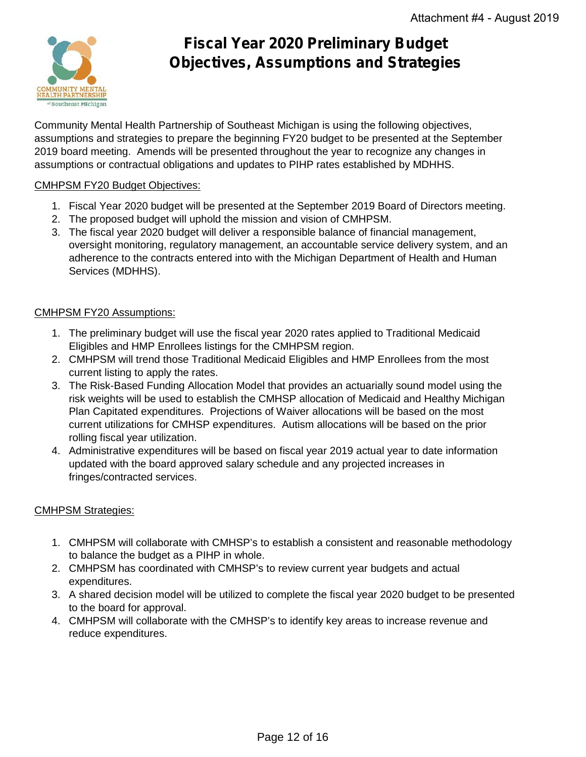

# **Fiscal Year 2020 Preliminary Budget Objectives, Assumptions and Strategies**

Community Mental Health Partnership of Southeast Michigan is using the following objectives, assumptions and strategies to prepare the beginning FY20 budget to be presented at the September 2019 board meeting. Amends will be presented throughout the year to recognize any changes in assumptions or contractual obligations and updates to PIHP rates established by MDHHS.

# CMHPSM FY20 Budget Objectives:

- 1. Fiscal Year 2020 budget will be presented at the September 2019 Board of Directors meeting.
- 2. The proposed budget will uphold the mission and vision of CMHPSM.
- 3. The fiscal year 2020 budget will deliver a responsible balance of financial management, oversight monitoring, regulatory management, an accountable service delivery system, and an adherence to the contracts entered into with the Michigan Department of Health and Human Services (MDHHS).

## CMHPSM FY20 Assumptions:

- 1. The preliminary budget will use the fiscal year 2020 rates applied to Traditional Medicaid Eligibles and HMP Enrollees listings for the CMHPSM region.
- 2. CMHPSM will trend those Traditional Medicaid Eligibles and HMP Enrollees from the most current listing to apply the rates.
- 3. The Risk-Based Funding Allocation Model that provides an actuarially sound model using the risk weights will be used to establish the CMHSP allocation of Medicaid and Healthy Michigan Plan Capitated expenditures. Projections of Waiver allocations will be based on the most current utilizations for CMHSP expenditures. Autism allocations will be based on the prior rolling fiscal year utilization.
- 4. Administrative expenditures will be based on fiscal year 2019 actual year to date information updated with the board approved salary schedule and any projected increases in fringes/contracted services.

# CMHPSM Strategies:

- 1. CMHPSM will collaborate with CMHSP's to establish a consistent and reasonable methodology to balance the budget as a PIHP in whole.
- 2. CMHPSM has coordinated with CMHSP's to review current year budgets and actual expenditures.
- 3. A shared decision model will be utilized to complete the fiscal year 2020 budget to be presented to the board for approval.
- 4. CMHPSM will collaborate with the CMHSP's to identify key areas to increase revenue and reduce expenditures.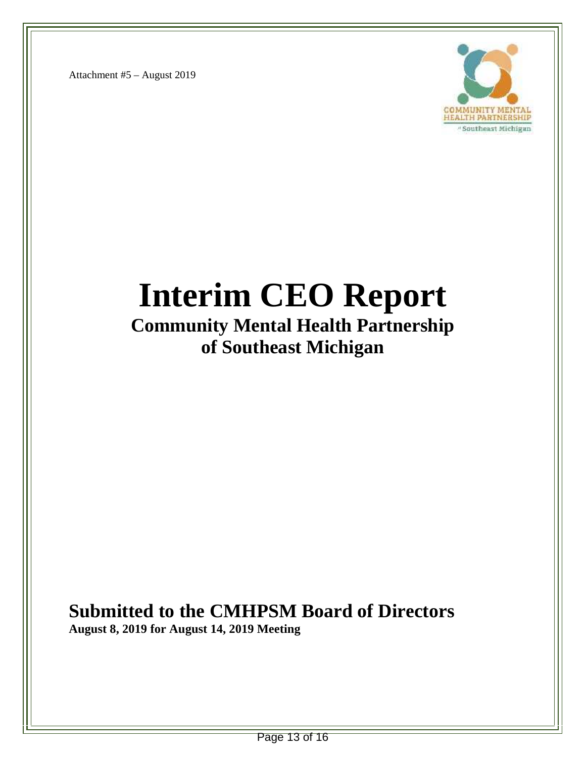Attachment #5 – August 2019



# **Interim CEO Report**

# **Community Mental Health Partnership of Southeast Michigan**

# **Submitted to the CMHPSM Board of Directors**

**August 8, 2019 for August 14, 2019 Meeting**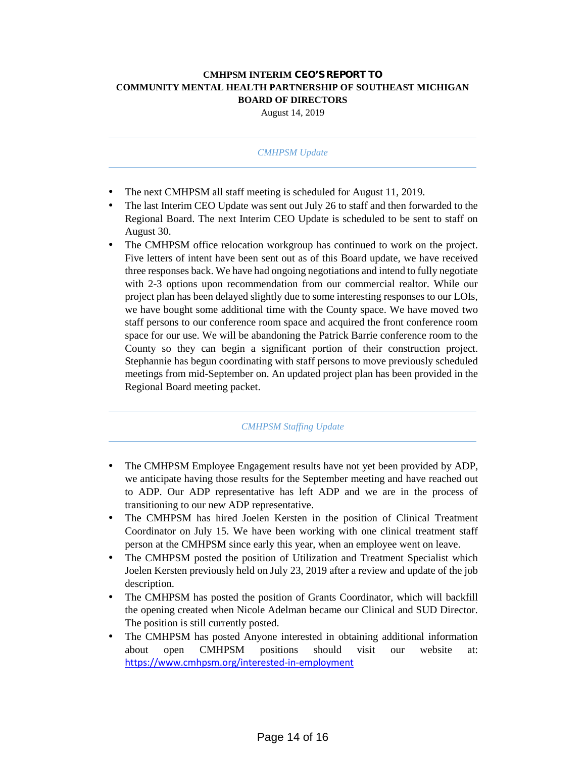#### **CMHPSM INTERIM CEO'S REPORT TO COMMUNITY MENTAL HEALTH PARTNERSHIP OF SOUTHEAST MICHIGAN BOARD OF DIRECTORS**

August 14, 2019

#### *CMHPSM Update*

The next CMHPSM all staff meeting is scheduled for August 11, 2019.

 The last Interim CEO Update was sent out July 26 to staff and then forwarded to the Regional Board. The next Interim CEO Update is scheduled to be sent to staff on August 30.

 The CMHPSM office relocation workgroup has continued to work on the project. Five letters of intent have been sent out as of this Board update, we have received three responses back. We have had ongoing negotiations and intend to fully negotiate with 2-3 options upon recommendation from our commercial realtor. While our project plan has been delayed slightly due to some interesting responses to our LOIs, we have bought some additional time with the County space. We have moved two staff persons to our conference room space and acquired the front conference room space for our use. We will be abandoning the Patrick Barrie conference room to the County so they can begin a significant portion of their construction project. Stephannie has begun coordinating with staff persons to move previously scheduled meetings from mid-September on. An updated project plan has been provided in the Regional Board meeting packet.

#### *CMHPSM Staffing Update*

- The CMHPSM Employee Engagement results have not yet been provided by ADP, we anticipate having those results for the September meeting and have reached out to ADP. Our ADP representative has left ADP and we are in the process of transitioning to our new ADP representative.
- The CMHPSM has hired Joelen Kersten in the position of Clinical Treatment Coordinator on July 15. We have been working with one clinical treatment staff person at the CMHPSM since early this year, when an employee went on leave.
- The CMHPSM posted the position of Utilization and Treatment Specialist which Joelen Kersten previously held on July 23, 2019 after a review and update of the job description.
- The CMHPSM has posted the position of Grants Coordinator, which will backfill the opening created when Nicole Adelman became our Clinical and SUD Director. The position is still currently posted.
- The CMHPSM has posted Anyone interested in obtaining additional information about open CMHPSM positions should visit our website at: https://www.cmhpsm.org/interested-in-employment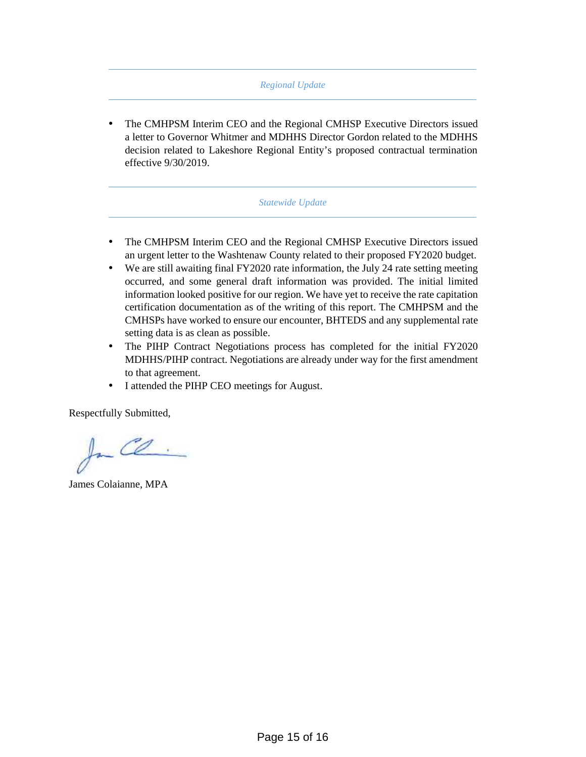#### *Regional Update*

 The CMHPSM Interim CEO and the Regional CMHSP Executive Directors issued a letter to Governor Whitmer and MDHHS Director Gordon related to the MDHHS decision related to Lakeshore Regional Entity's proposed contractual termination effective 9/30/2019.

#### *Statewide Update*

- The CMHPSM Interim CEO and the Regional CMHSP Executive Directors issued an urgent letter to the Washtenaw County related to their proposed FY2020 budget.
- We are still awaiting final FY2020 rate information, the July 24 rate setting meeting occurred, and some general draft information was provided. The initial limited information looked positive for our region. We have yet to receive the rate capitation certification documentation as of the writing of this report. The CMHPSM and the CMHSPs have worked to ensure our encounter, BHTEDS and any supplemental rate setting data is as clean as possible.
- The PIHP Contract Negotiations process has completed for the initial FY2020 MDHHS/PIHP contract. Negotiations are already under way for the first amendment to that agreement.
- I attended the PIHP CEO meetings for August.

Respectfully Submitted,

 $f_{\nightharpoonup}$  Ce.

James Colaianne, MPA